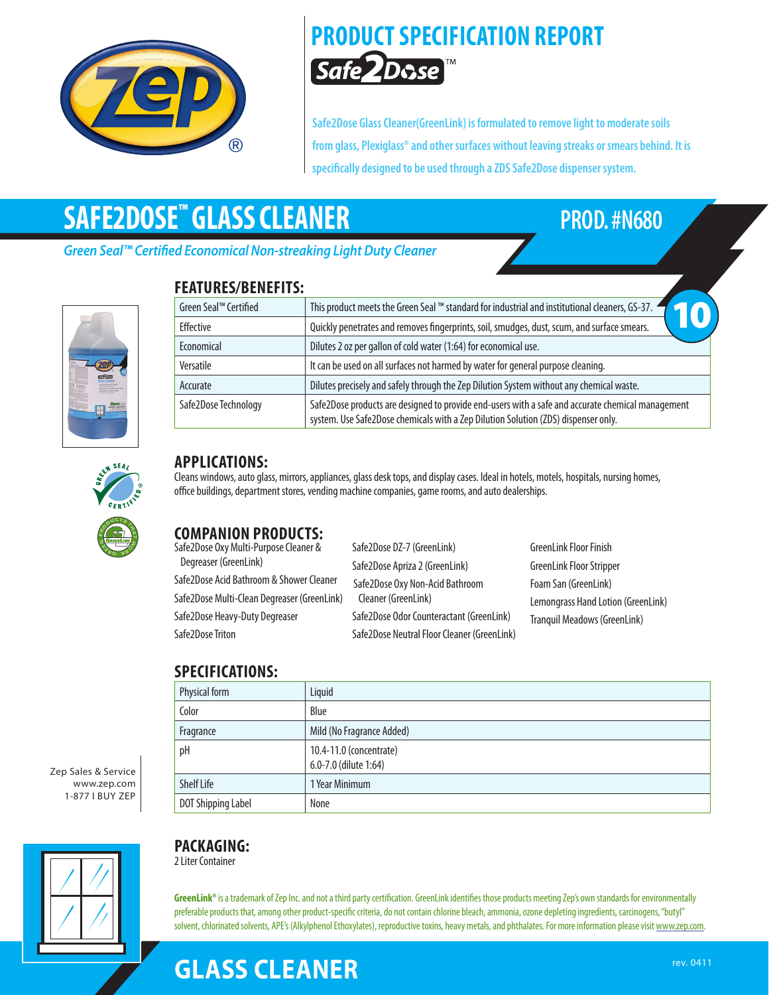

# **PRODUCT SPECIFICATION REPORT** Safe2Dose™

**Safe2Dose Glass Cleaner(GreenLink) is formulated to remove light to moderate soils from glass, Plexiglass® and other surfaces without leaving streaks or smears behind. It is specifically designed to be used through a ZDS Safe2Dose dispenser system.**

# **SAFE2DOSE™ GLASS CLEANER PROD. #N680**

*Green Seal™ Certified Economical Non-streaking Light Duty Cleaner*

**FEATURES/BENEFITS:**



| I LAI VI\LJ/ DLI\LI I I J. |                                                                                                                                                                                         |
|----------------------------|-----------------------------------------------------------------------------------------------------------------------------------------------------------------------------------------|
| Green Seal™ Certified      | This product meets the Green Seal ™ standard for industrial and institutional cleaners, GS-37. 4                                                                                        |
| Effective                  | Quickly penetrates and removes fingerprints, soil, smudges, dust, scum, and surface smears.                                                                                             |
| Economical                 | Dilutes 2 oz per gallon of cold water (1:64) for economical use.                                                                                                                        |
| Versatile                  | It can be used on all surfaces not harmed by water for general purpose cleaning.                                                                                                        |
| Accurate                   | Dilutes precisely and safely through the Zep Dilution System without any chemical waste.                                                                                                |
| Safe2Dose Technology       | Safe2Dose products are designed to provide end-users with a safe and accurate chemical management<br>system. Use Safe2Dose chemicals with a Zep Dilution Solution (ZDS) dispenser only. |



## **APPLICATIONS:**

Cleans windows, auto glass, mirrors, appliances, glass desk tops, and display cases. Ideal in hotels, motels, hospitals, nursing homes, office buildings, department stores, vending machine companies, game rooms, and auto dealerships.

## **COMPANION PRODUCTS:**

Safe2Dose Oxy Multi-Purpose Cleaner & Degreaser (GreenLink) Safe2Dose Acid Bathroom & Shower Cleaner Safe2Dose Multi-Clean Degreaser (GreenLink) Safe2Dose Heavy-Duty Degreaser Safe2Dose Triton

Safe2Dose DZ-7 (GreenLink) Safe2Dose Apriza 2 (GreenLink) Safe2Dose Oxy Non-Acid Bathroom Cleaner (GreenLink) Safe2Dose Odor Counteractant (GreenLink) Safe2Dose Neutral Floor Cleaner (GreenLink)

GreenLink Floor Finish GreenLink Floor Stripper Foam San (GreenLink) Lemongrass Hand Lotion (GreenLink) Tranquil Meadows (GreenLink)

## **SPECIFICATIONS:**

| Physical form             | Liquid                                           |
|---------------------------|--------------------------------------------------|
| Color                     | Blue                                             |
| Fragrance                 | Mild (No Fragrance Added)                        |
| pH                        | 10.4-11.0 (concentrate)<br>6.0-7.0 (dilute 1:64) |
| <b>Shelf Life</b>         | 1 Year Minimum                                   |
| <b>DOT Shipping Label</b> | None                                             |

Zep Sales & Service www.zep.com 1-877 I Buy Zep



## **PACKAGING:**

2 Liter Container

GreenLink® is a trademark of Zep Inc. and not a third party certification. GreenLink identifies those products meeting Zep's own standards for environmentally preferable products that, among other product-specific criteria, do not contain chlorine bleach, ammonia, ozone depleting ingredients, carcinogens, "butyl" solvent, chlorinated solvents, APE's (Alkylphenol Ethoxylates), reproductive toxins, heavy metals, and phthalates. For more information please visit www.zep.com.

# **Glass Cleaner**